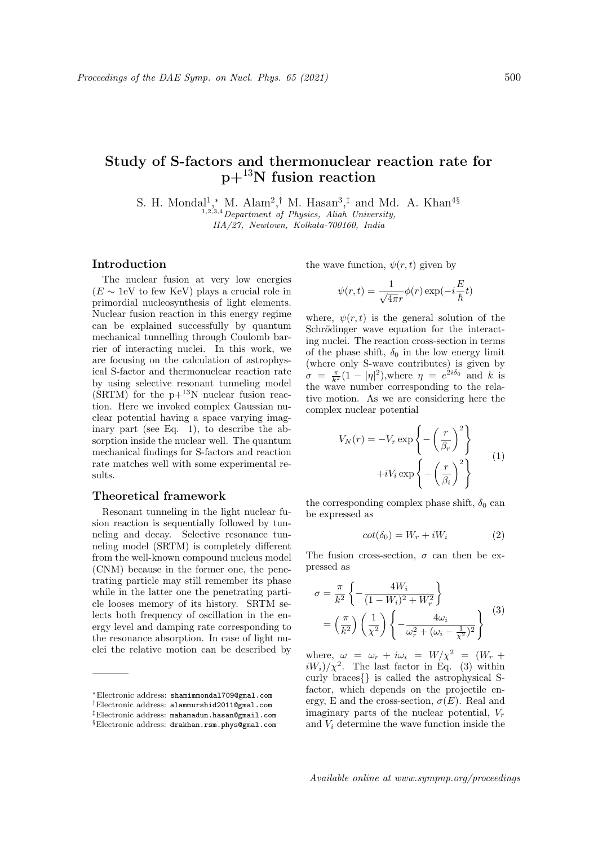# Study of S-factors and thermonuclear reaction rate for  $p+$ <sup>13</sup>N fusion reaction

S. H. Mondal<sup>1</sup>,\* M. Alam<sup>2</sup>,<sup>†</sup> M. Hasan<sup>3</sup>,<sup>‡</sup> and Md. A. Khan<sup>4§</sup>  $1,2,3,4$  Department of Physics, Aliah University, IIA/27, Newtown, Kolkata-700160, India

# Introduction

The nuclear fusion at very low energies  $(E \sim 1$ eV to few KeV) plays a crucial role in primordial nucleosynthesis of light elements. Nuclear fusion reaction in this energy regime can be explained successfully by quantum mechanical tunnelling through Coulomb barrier of interacting nuclei. In this work, we are focusing on the calculation of astrophysical S-factor and thermonuclear reaction rate by using selective resonant tunneling model  $(SRTM)$  for the  $p+13N$  nuclear fusion reaction. Here we invoked complex Gaussian nuclear potential having a space varying imaginary part (see Eq. 1), to describe the absorption inside the nuclear well. The quantum mechanical findings for S-factors and reaction rate matches well with some experimental results.

### Theoretical framework

Resonant tunneling in the light nuclear fusion reaction is sequentially followed by tunneling and decay. Selective resonance tunneling model (SRTM) is completely different from the well-known compound nucleus model (CNM) because in the former one, the penetrating particle may still remember its phase while in the latter one the penetrating particle looses memory of its history. SRTM selects both frequency of oscillation in the energy level and damping rate corresponding to the resonance absorption. In case of light nuclei the relative motion can be described by the wave function,  $\psi(r, t)$  given by

$$
\psi(r,t) = \frac{1}{\sqrt{4\pi}r} \phi(r) \exp(-i\frac{E}{\hbar}t)
$$

where,  $\psi(r, t)$  is the general solution of the Schrödinger wave equation for the interacting nuclei. The reaction cross-section in terms of the phase shift,  $\delta_0$  in the low energy limit (where only S-wave contributes) is given by  $\sigma = \frac{\pi}{k^2} (1 - |\eta|^2)$ , where  $\eta = e^{2i\delta_0}$  and k is the wave number corresponding to the relative motion. As we are considering here the complex nuclear potential

$$
V_N(r) = -V_r \exp\left\{-\left(\frac{r}{\beta_r}\right)^2\right\}
$$

$$
+iV_i \exp\left\{-\left(\frac{r}{\beta_i}\right)^2\right\}
$$
(1)

the corresponding complex phase shift,  $\delta_0$  can be expressed as

$$
cot(\delta_0) = W_r + iW_i \tag{2}
$$

The fusion cross-section,  $\sigma$  can then be expressed as

$$
\sigma = \frac{\pi}{k^2} \left\{ -\frac{4W_i}{(1 - W_i)^2 + W_r^2} \right\}
$$

$$
= \left(\frac{\pi}{k^2}\right) \left(\frac{1}{\chi^2}\right) \left\{ -\frac{4\omega_i}{\omega_r^2 + (\omega_i - \frac{1}{\chi^2})^2} \right\} \tag{3}
$$

where,  $\omega = \omega_r + i\omega_i = W/\chi^2 = (W_r +$  $iW_i/\chi^2$ . The last factor in Eq. (3) within curly braces{} is called the astrophysical Sfactor, which depends on the projectile energy, E and the cross-section,  $\sigma(E)$ . Real and imaginary parts of the nuclear potential,  $V_r$ and  $V_i$  determine the wave function inside the

<sup>∗</sup>Electronic address: shamimmondal709@gmal.com †Electronic address: alammurshid2011@gmal.com ‡Electronic address: mahamadun.hasan@gmail.com §Electronic address: drakhan.rsm.phys@gmal.com